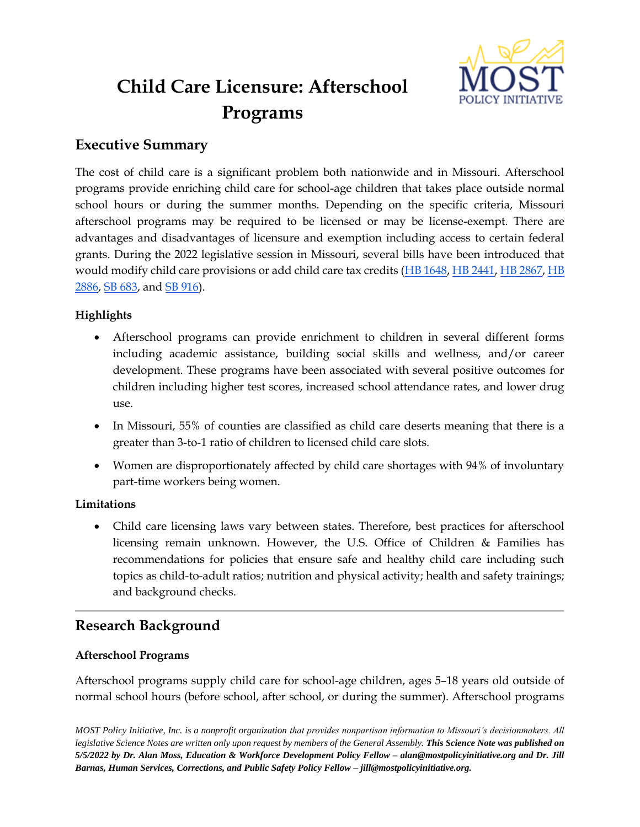

# **Child Care Licensure: Afterschool Programs**

# **Executive Summary**

The cost of child care is a significant problem both nationwide and in Missouri. Afterschool programs provide enriching child care for school-age children that takes place outside normal school hours or during the summer months. Depending on the specific criteria, Missouri afterschool programs may be required to be licensed or may be license-exempt. There are advantages and disadvantages of licensure and exemption including access to certain federal grants. During the 2022 legislative session in Missouri, several bills have been introduced that would modify child care provisions or add child care tax credits [\(HB 1648,](https://www.house.mo.gov/Bill.aspx?bill=HB1648&year=2022&code=R) [HB 2441,](https://www.house.mo.gov/Bill.aspx?bill=HB2441&year=2022&code=R) [HB 2867,](https://www.house.mo.gov/Bill.aspx?bill=HB2867&year=2022&code=R) [HB](https://www.house.mo.gov/Bill.aspx?bill=HB2886&year=2022&code=R)  [2886,](https://www.house.mo.gov/Bill.aspx?bill=HB2886&year=2022&code=R) [SB 683,](https://www.senate.mo.gov/22info/BTS_Web/Bill.aspx?SessionType=R&BillID=71259860) and [SB 916\)](https://www.senate.mo.gov/22info/BTS_Web/Bill.aspx?SessionType=R&BillID=71259848).

# **Highlights**

- Afterschool programs can provide enrichment to children in several different forms including academic assistance, building social skills and wellness, and/or career development. These programs have been associated with several positive outcomes for children including higher test scores, increased school attendance rates, and lower drug use.
- In Missouri, 55% of counties are classified as child care deserts meaning that there is a greater than 3-to-1 ratio of children to licensed child care slots.
- Women are disproportionately affected by child care shortages with 94% of involuntary part-time workers being women.

# **Limitations**

• Child care licensing laws vary between states. Therefore, best practices for afterschool licensing remain unknown. However, the U.S. Office of Children & Families has recommendations for policies that ensure safe and healthy child care including such topics as child-to-adult ratios; nutrition and physical activity; health and safety trainings; and background checks.

# **Research Background**

# **Afterschool Programs**

Afterschool programs supply child care for school-age children, ages 5–18 years old outside of normal school hours (before school, after school, or during the summer). Afterschool programs

*MOST Policy Initiative, Inc. is a nonprofit organization that provides nonpartisan information to Missouri's decisionmakers. All legislative Science Notes are written only upon request by members of the General Assembly. This Science Note was published on 5/5/2022 by Dr. Alan Moss, Education & Workforce Development Policy Fellow – alan@mostpolicyinitiative.org and Dr. Jill Barnas, Human Services, Corrections, and Public Safety Policy Fellow – jill@mostpolicyinitiative.org.*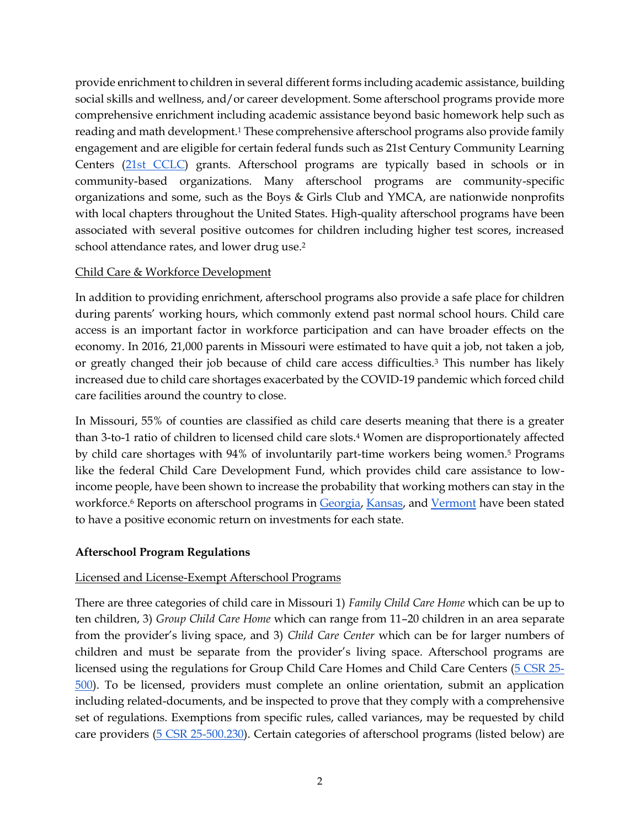provide enrichment to children in several different forms including academic assistance, building social skills and wellness, and/or career development. Some afterschool programs provide more comprehensive enrichment including academic assistance beyond basic homework help such as reading and math development.<sup>1</sup> These comprehensive afterschool programs also provide family engagement and are eligible for certain federal funds such as 21st Century Community Learning Centers [\(21st CCLC\)](https://oese.ed.gov/offices/office-of-formula-grants/school-support-and-accountability/21st-century-community-learning-centers/) grants. Afterschool programs are typically based in schools or in community-based organizations. Many afterschool programs are community-specific organizations and some, such as the Boys & Girls Club and YMCA, are nationwide nonprofits with local chapters throughout the United States. High-quality afterschool programs have been associated with several positive outcomes for children including higher test scores, increased school attendance rates, and lower drug use.<sup>2</sup>

# Child Care & Workforce Development

In addition to providing enrichment, afterschool programs also provide a safe place for children during parents' working hours, which commonly extend past normal school hours. Child care access is an important factor in workforce participation and can have broader effects on the economy. In 2016, 21,000 parents in Missouri were estimated to have quit a job, not taken a job, or greatly changed their job because of child care access difficulties.<sup>3</sup> This number has likely increased due to child care shortages exacerbated by the COVID-19 pandemic which forced child care facilities around the country to close.

In Missouri, 55% of counties are classified as child care deserts meaning that there is a greater than 3-to-1 ratio of children to licensed child care slots.<sup>4</sup> Women are disproportionately affected by child care shortages with 94% of involuntarily part-time workers being women.<sup>5</sup> Programs like the federal Child Care Development Fund, which provides child care assistance to lowincome people, have been shown to increase the probability that working mothers can stay in the workforce.<sup>6</sup> Reports on afterschool programs in [Georgia,](http://www.afterschoolga.org/wp-content/uploads/2018/05/Investing-in-Georgias-Youth-FINAL-High-Resolution-1.pdf) [Kansas,](https://www.ncsl.org/Portals/1/Documents/educ/Kansas_ROI_Report.pdf) and [Vermont](https://www.ncsl.org/Portals/1/Documents/educ/Vermont_Afterschool_ROI.pdf) have been stated to have a positive economic return on investments for each state.

#### **Afterschool Program Regulations**

# Licensed and License-Exempt Afterschool Programs

There are three categories of child care in Missouri 1) *Family Child Care Home* which can be up to ten children, 3) *Group Child Care Home* which can range from 11–20 children in an area separate from the provider's living space, and 3) *Child Care Center* which can be for larger numbers of children and must be separate from the provider's living space. Afterschool programs are licensed using the regulations for Group Child Care Homes and Child Care Centers [\(5 CSR 25-](https://www.sos.mo.gov/CMSImages/AdRules/csr/current/5csr/5c25-500.pdf) [500\)](https://www.sos.mo.gov/CMSImages/AdRules/csr/current/5csr/5c25-500.pdf). To be licensed, providers must complete an online orientation, submit an application including related-documents, and be inspected to prove that they comply with a comprehensive set of regulations. Exemptions from specific rules, called variances, may be requested by child care providers [\(5 CSR 25-500.230\)](https://www.sos.mo.gov/CMSImages/AdRules/csr/current/5csr/5c25-500.pdf). Certain categories of afterschool programs (listed below) are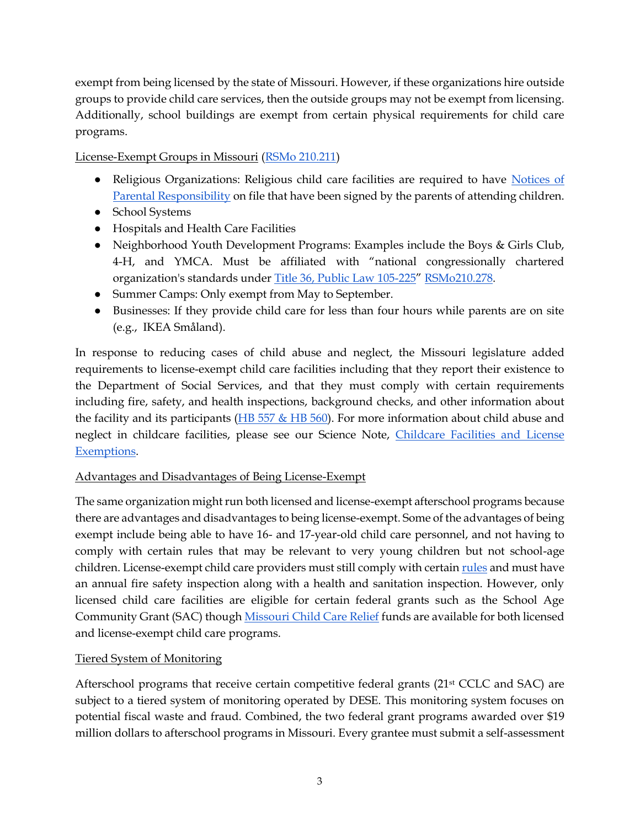exempt from being licensed by the state of Missouri. However, if these organizations hire outside groups to provide child care services, then the outside groups may not be exempt from licensing. Additionally, school buildings are exempt from certain physical requirements for child care programs.

License-Exempt Groups in Missouri [\(RSMo 210.211\)](https://revisor.mo.gov/main/OneSection.aspx?section=210.211&bid=48796&hl=)

- Religious Organizations: Religious child care facilities are required to have [Notices of](https://dese.mo.gov/media/pdf/mo500-3294-religious-organization-child-care-facility-notice-parental-responsibility)  [Parental Responsibility](https://dese.mo.gov/media/pdf/mo500-3294-religious-organization-child-care-facility-notice-parental-responsibility) on file that have been signed by the parents of attending children.
- School Systems
- Hospitals and Health Care Facilities
- Neighborhood Youth Development Programs: Examples include the Boys & Girls Club, 4-H, and YMCA. Must be affiliated with "national congressionally chartered organization's standards under [Title 36, Public Law 105-225](https://www.govinfo.gov/app/details/PLAW-105publ225#:~:text=Full%20Title-,An%20act%20to%20revise%2C%20codify%2C%20and%20enact%20without%20substantive%20change,Ceremonies%2C%20and%20Organizations)" [RSMo210.278.](https://revisor.mo.gov/main/OneSection.aspx?section=210.278)
- Summer Camps: Only exempt from May to September.
- Businesses: If they provide child care for less than four hours while parents are on site (e.g., IKEA Småland).

In response to reducing cases of child abuse and neglect, the Missouri legislature added requirements to license-exempt child care facilities including that they report their existence to the Department of Social Services, and that they must comply with certain requirements including fire, safety, and health inspections, background checks, and other information about the facility and its participants ( $\overline{HB}$  557 & HB 560). For more information about child abuse and neglect in childcare facilities, please see our Science Note, Childcare Facilities and License [Exemptions.](https://mostpolicyinitiative.org/science-note/childcare-facilities-and-license-exemptions/)

# Advantages and Disadvantages of Being License-Exempt

The same organization might run both licensed and license-exempt afterschool programs because there are advantages and disadvantages to being license-exempt. Some of the advantages of being exempt include being able to have 16- and 17-year-old child care personnel, and not having to comply with certain rules that may be relevant to very young children but not school-age children. License-exempt child care providers must still comply with certain [rules](https://www.sos.mo.gov/CMSImages/AdRules/csr/current/5csr/5c25-300.pdf) and must have an annual fire safety inspection along with a health and sanitation inspection. However, only licensed child care facilities are eligible for certain federal grants such as the School Age Community Grant (SAC) though [Missouri Child Care Relief](https://earlyconnections.mo.gov/child-care-relief-funds) funds are available for both licensed and license-exempt child care programs.

# Tiered System of Monitoring

Afterschool programs that receive certain competitive federal grants (21st CCLC and SAC) are subject to a tiered system of monitoring operated by DESE. This monitoring system focuses on potential fiscal waste and fraud. Combined, the two federal grant programs awarded over \$19 million dollars to afterschool programs in Missouri. Every grantee must submit a self-assessment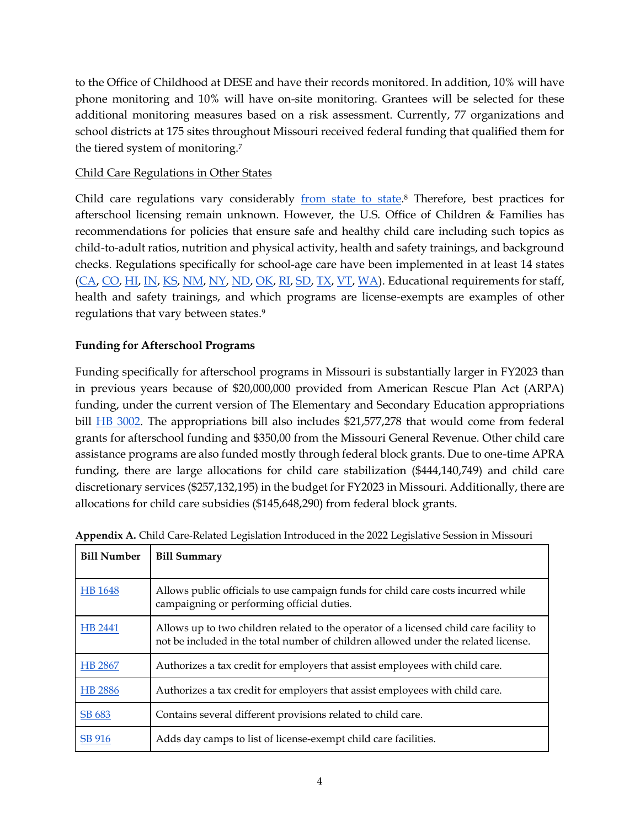to the Office of Childhood at DESE and have their records monitored. In addition, 10% will have phone monitoring and 10% will have on-site monitoring. Grantees will be selected for these additional monitoring measures based on a risk assessment. Currently, 77 organizations and school districts at 175 sites throughout Missouri received federal funding that qualified them for the tiered system of monitoring.<sup>7</sup>

#### Child Care Regulations in Other States

Child care regulations vary considerably <u>from state to state</u>.<sup>8</sup> Therefore, best practices for afterschool licensing remain unknown. However, the U.S. Office of Children & Families has recommendations for policies that ensure safe and healthy child care including such topics as child-to-adult ratios, nutrition and physical activity, health and safety trainings, and background checks. Regulations specifically for school-age care have been implemented in at least 14 states [\(CA,](https://www.cdss.ca.gov/inforesources/letters-regulations/legislation-and-regulations/community-care-licensing-regulations/child-care) [CO,](https://www.colorado.gov/pacific/sites/default/files/12%20CCR%202509-8-Child%20Care%20Facility%20Licensing-Regulation-May%202019.pdf) [HI,](https://humanservices.hawaii.gov/bessd/files/2013/01/HAR_17-896-Before-and-After-School-Child-Care-Facilities-Rules.pdf) [IN,](https://www.in.gov/fssa/carefinder/files/Rule4.7.pdf) [KS,](https://www.kdheks.gov/bcclr/regs/schoolage/School_Age_Programs_all_Sections.pdf) [NM,](https://regulations.justia.com/states/new-mexico/title-8/chapter-16/part-2/section-8-16-2-39/) [NY,](https://ocfs.ny.gov/programs/childcare/regulations/414-SACC.pdf) [ND,](https://www.legis.nd.gov/information/acdata/pdf/75-03-11.1.pdf) [OK,](http://www.okdhs.org/OKDHS%20Publication%20Library/14-05.pdf) [RI,](http://www.dcyf.ri.gov/licensing-child-care/documents/child-care-and-school-age-program-regulations-for-licensure.pdf) [SD,](https://dss.sd.gov/docs/childcare/licensing_handbook.pdf) [TX,](https://hhs.texas.gov/sites/default/files/documents/doing-business-with-hhs/provider-portal/protective-services/ccl/min-standards/chapter-744-school-age.pdf) [VT,](https://dcf.vermont.gov/sites/dcf/files/CDD/Docs/Licensing/AS_Regulations_Final.pdf) [WA\)](https://apps.leg.wa.gov/WAC/default.aspx?cite=110-305&full=true). Educational requirements for staff, health and safety trainings, and which programs are license-exempts are examples of other regulations that vary between states.<sup>9</sup>

#### **Funding for Afterschool Programs**

Funding specifically for afterschool programs in Missouri is substantially larger in FY2023 than in previous years because of \$20,000,000 provided from American Rescue Plan Act (ARPA) funding, under the current version of The Elementary and Secondary Education appropriations bill [HB 3002.](https://www.house.mo.gov/bill.aspx?bill=HB3002&year=2022&code=R) The appropriations bill also includes \$21,577,278 that would come from federal grants for afterschool funding and \$350,00 from the Missouri General Revenue. Other child care assistance programs are also funded mostly through federal block grants. Due to one-time APRA funding, there are large allocations for child care stabilization (\$444,140,749) and child care discretionary services (\$257,132,195) in the budget for FY2023 in Missouri. Additionally, there are allocations for child care subsidies (\$145,648,290) from federal block grants.

| <b>Bill Number</b> | <b>Bill Summary</b>                                                                                                                                                          |
|--------------------|------------------------------------------------------------------------------------------------------------------------------------------------------------------------------|
| HB 1648            | Allows public officials to use campaign funds for child care costs incurred while<br>campaigning or performing official duties.                                              |
| HB 2441            | Allows up to two children related to the operator of a licensed child care facility to<br>not be included in the total number of children allowed under the related license. |
| HB 2867            | Authorizes a tax credit for employers that assist employees with child care.                                                                                                 |
| HB 2886            | Authorizes a tax credit for employers that assist employees with child care.                                                                                                 |
| SB 683             | Contains several different provisions related to child care.                                                                                                                 |
| SB 916             | Adds day camps to list of license-exempt child care facilities.                                                                                                              |

| Appendix A. Child Care-Related Legislation Introduced in the 2022 Legislative Session in Missouri |  |  |
|---------------------------------------------------------------------------------------------------|--|--|
|                                                                                                   |  |  |